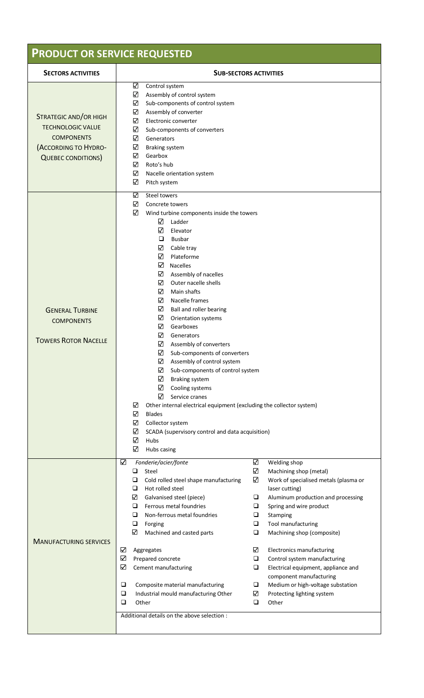## **PRODUCT OR SERVICE REQUESTED**

| <b>SECTORS ACTIVITIES</b>                                                                                                  | <b>SUB-SECTORS ACTIVITIES</b>                                                                                                                                                                                                                                                                                                                                                                                                                                                                                                                                                                                                                                                                                                                                                                                                                                                                                                                                                                                                                                                                                                                                        |  |  |  |
|----------------------------------------------------------------------------------------------------------------------------|----------------------------------------------------------------------------------------------------------------------------------------------------------------------------------------------------------------------------------------------------------------------------------------------------------------------------------------------------------------------------------------------------------------------------------------------------------------------------------------------------------------------------------------------------------------------------------------------------------------------------------------------------------------------------------------------------------------------------------------------------------------------------------------------------------------------------------------------------------------------------------------------------------------------------------------------------------------------------------------------------------------------------------------------------------------------------------------------------------------------------------------------------------------------|--|--|--|
| STRATEGIC AND/OR HIGH<br><b>TECHNOLOGIC VALUE</b><br><b>COMPONENTS</b><br>(ACCORDING TO HYDRO-<br><b>QUEBEC CONDITIONS</b> | ✓<br>Control system<br>✓<br>Assembly of control system<br>✓<br>Sub-components of control system<br>✓<br>Assembly of converter<br>$\checkmark$<br>Electronic converter<br>✓<br>Sub-components of converters<br>$\checkmark$<br>Generators<br>✓<br>Braking system<br>✓<br>Gearbox<br>✓<br>Roto's hub<br>✓<br>Nacelle orientation system<br>✓<br>Pitch system                                                                                                                                                                                                                                                                                                                                                                                                                                                                                                                                                                                                                                                                                                                                                                                                           |  |  |  |
| <b>GENERAL TURBINE</b><br><b>COMPONENTS</b><br><b>TOWERS ROTOR NACELLE</b>                                                 | $\checkmark$<br>Steel towers<br>⊻<br>Concrete towers<br>$\checkmark$<br>Wind turbine components inside the towers<br>✓<br>Ladder<br>✓<br>Elevator<br>$\Box$<br><b>Busbar</b><br>☑<br>Cable tray<br>✓<br>Plateforme<br>$\checkmark$<br><b>Nacelles</b><br>✓<br>Assembly of nacelles<br>✓<br>Outer nacelle shells<br>✓<br>Main shafts<br>✓<br>Nacelle frames<br>✓<br>Ball and roller bearing<br>☑<br>Orientation systems<br>⊻<br>Gearboxes<br>⊻<br>Generators<br>✓<br>Assembly of converters<br>⊻<br>Sub-components of converters<br>✔<br>Assembly of control system<br>✓<br>Sub-components of control system<br>☑<br>Braking system<br>✓<br>Cooling systems<br>✓<br>Service cranes<br>✓<br>Other internal electrical equipment (excluding the collector system)<br>✓<br><b>Blades</b><br>✓<br>Collector system<br>✓<br>SCADA (supervisory control and data acquisition)<br>$\checkmark$<br>Hubs<br>$\checkmark$<br>Hubs casing                                                                                                                                                                                                                                        |  |  |  |
| <b>MANUFACTURING SERVICES</b>                                                                                              | $\checkmark$<br>$\checkmark$<br>Welding shop<br>Fonderie/acier/fonte<br>$\checkmark$<br>$\Box$<br>Steel<br>Machining shop (metal)<br>$\checkmark$<br>❏<br>Cold rolled steel shape manufacturing<br>Work of specialised metals (plasma or<br>❏<br>Hot rolled steel<br>laser cutting)<br>✓<br>Galvanised steel (piece)<br>$\Box$<br>Aluminum production and processing<br>Ferrous metal foundries<br>❏<br>❏<br>Spring and wire product<br>Non-ferrous metal foundries<br>❏<br>Stamping<br>□<br>$\Box$<br>$\Box$<br>Forging<br>Tool manufacturing<br>✓<br>$\Box$<br>Machined and casted parts<br>Machining shop (composite)<br>$\checkmark$<br>$\checkmark$<br>Aggregates<br><b>Electronics manufacturing</b><br>✓<br>Prepared concrete<br>$\Box$<br>Control system manufacturing<br>✓<br>Cement manufacturing<br>□<br>Electrical equipment, appliance and<br>component manufacturing<br>$\Box$<br>Composite material manufacturing<br>$\Box$<br>Medium or high-voltage substation<br>$\Box$<br>Industrial mould manufacturing Other<br>$\checkmark$<br>Protecting lighting system<br>$\Box$<br>$\Box$<br>Other<br>Other<br>Additional details on the above selection : |  |  |  |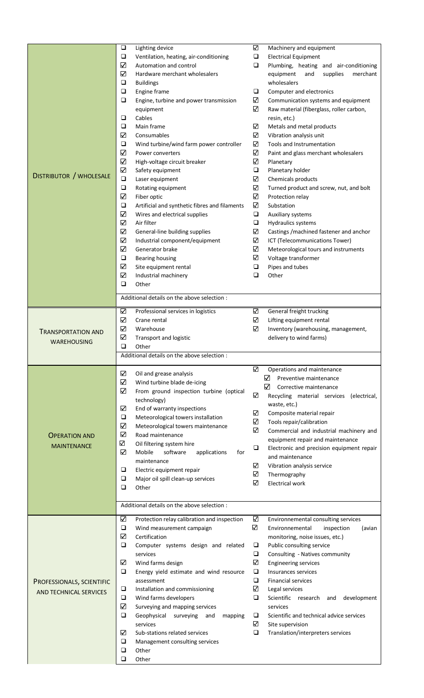|                                | $\Box$       | Lighting device                               | $\checkmark$ | Machinery and equipment                     |
|--------------------------------|--------------|-----------------------------------------------|--------------|---------------------------------------------|
|                                | $\Box$       | Ventilation, heating, air-conditioning        | ❏            | <b>Electrical Equipment</b>                 |
|                                | $\checkmark$ | Automation and control                        | ❏            | Plumbing, heating and air-conditioning      |
|                                | ⊻            | Hardware merchant wholesalers                 |              | equipment<br>and<br>supplies<br>merchant    |
|                                | $\Box$       | <b>Buildings</b>                              |              | wholesalers                                 |
|                                | $\Box$       | Engine frame                                  | $\Box$       | Computer and electronics                    |
|                                | $\Box$       | Engine, turbine and power transmission        | ✓            | Communication systems and equipment         |
|                                |              |                                               | ✓            |                                             |
|                                | $\Box$       | equipment                                     |              | Raw material (fiberglass, roller carbon,    |
| <b>DISTRIBUTOR / WHOLESALE</b> |              | Cables                                        |              | resin, etc.)                                |
|                                | $\Box$       | Main frame                                    | ✓            | Metals and metal products                   |
|                                | ✓            | Consumables                                   | $\checkmark$ | Vibration analysis unit                     |
|                                | $\Box$       | Wind turbine/wind farm power controller       | $\checkmark$ | Tools and Instrumentation                   |
|                                | ✓            | Power converters                              | ✓            | Paint and glass merchant wholesalers        |
|                                | ✓            | High-voltage circuit breaker                  | ✓            | Planetary                                   |
|                                | $\checkmark$ | Safety equipment                              | $\Box$       | Planetary holder                            |
|                                | $\Box$       | Laser equipment                               | ✓            | Chemicals products                          |
|                                | $\Box$       | Rotating equipment                            | ✓            | Turned product and screw, nut, and bolt     |
|                                | ✓            | Fiber optic                                   | ✓            | Protection relay                            |
|                                | $\Box$       | Artificial and synthetic fibres and filaments | ✓            | Substation                                  |
|                                | $\checkmark$ | Wires and electrical supplies                 | ❏            | Auxiliary systems                           |
|                                | ✓            | Air filter                                    | ❏            | <b>Hydraulics systems</b>                   |
|                                | ✓            | General-line building supplies                | ✓            | Castings / machined fastener and anchor     |
|                                | ✓            | Industrial component/equipment                | ✓            | ICT (Telecommunications Tower)              |
|                                | ✓            | Generator brake                               | $\checkmark$ | Meteorological tours and instruments        |
|                                | $\Box$       |                                               | ✓            |                                             |
|                                | $\checkmark$ | Bearing housing                               |              | Voltage transformer                         |
|                                |              | Site equipment rental                         | ❏            | Pipes and tubes                             |
|                                | ✓            | Industrial machinery                          | ❏            | Other                                       |
|                                | $\Box$       | Other                                         |              |                                             |
|                                |              | Additional details on the above selection :   |              |                                             |
|                                |              |                                               |              |                                             |
|                                | ✓            | Professional services in logistics            | ✓            | General freight trucking                    |
|                                | ✓            | Crane rental                                  | ✓            | Lifting equipment rental                    |
| <b>TRANSPORTATION AND</b>      | ✓            | Warehouse                                     | $\checkmark$ | Inventory (warehousing, management,         |
|                                | ✓            | Transport and logistic                        |              | delivery to wind farms)                     |
| <b>WAREHOUSING</b>             | $\Box$       | Other                                         |              |                                             |
|                                |              |                                               |              |                                             |
|                                |              |                                               |              |                                             |
|                                |              | Additional details on the above selection :   |              |                                             |
|                                |              |                                               | ✓            | Operations and maintenance                  |
|                                | ✓            | Oil and grease analysis                       |              | ⊻<br>Preventive maintenance                 |
|                                | ✓            | Wind turbine blade de-icing                   |              | N<br>Corrective maintenance                 |
|                                | ✓            | From ground inspection turbine (optical       | ✓            | Recycling material services<br>(electrical, |
|                                |              | technology)                                   |              | waste, etc.)                                |
|                                | ✓            | End of warranty inspections                   | ✓            | Composite material repair                   |
|                                | $\Box$       | Meteorological towers installation            | $\checkmark$ |                                             |
|                                | ✓            | Meteorological towers maintenance             | $\checkmark$ | Tools repair/calibration                    |
| <b>OPERATION AND</b>           | $\checkmark$ | Road maintenance                              |              | Commercial and industrial machinery and     |
| <b>MAINTENANCE</b>             | ✓            | Oil filtering system hire                     |              | equipment repair and maintenance            |
|                                | ⊻            | Mobile<br>software<br>applications<br>for     | $\Box$       | Electronic and precision equipment repair   |
|                                |              | maintenance                                   |              | and maintenance                             |
|                                | $\Box$       | Electric equipment repair                     | ✓            | Vibration analysis service                  |
|                                | $\Box$       | Major oil spill clean-up services             | $\checkmark$ | Thermography                                |
|                                | $\Box$       | Other                                         | ✓            | <b>Electrical work</b>                      |
|                                |              |                                               |              |                                             |
|                                |              | Additional details on the above selection :   |              |                                             |
|                                |              |                                               |              |                                             |
|                                | ✓            | Protection relay calibration and inspection   | ✓            | Environnemental consulting services         |
|                                | $\Box$       | Wind measurement campaign                     | $\checkmark$ | Environnemental<br>inspection<br>(avian     |
|                                | ✓            | Certification                                 |              | monitoring, noise issues, etc.)             |
|                                | $\Box$       | Computer systems design and related           | $\Box$       | Public consulting service                   |
|                                |              | services                                      | $\Box$       | Consulting - Natives community              |
|                                | ✓            | Wind farms design                             | ✓            | <b>Engineering services</b>                 |
|                                | $\Box$       | Energy yield estimate and wind resource       | $\Box$       | Insurances services                         |
| PROFESSIONALS, SCIENTIFIC      |              | assessment                                    | $\Box$       | <b>Financial services</b>                   |
| AND TECHNICAL SERVICES         | $\Box$       | Installation and commissioning                | ✓            | Legal services                              |
|                                | $\Box$       | Wind farms developers                         | $\Box$       | Scientific research<br>development<br>and   |
|                                | ✓            | Surveying and mapping services                |              | services                                    |
|                                | $\Box$       | Geophysical<br>surveying<br>and<br>mapping    | $\Box$       | Scientific and technical advice services    |
|                                |              | services                                      | ✓            | Site supervision                            |
|                                | ☑            | Sub-stations related services                 | □            | Translation/interpreters services           |
|                                | $\Box$       |                                               |              |                                             |
|                                | ❏            | Management consulting services<br>Other       |              |                                             |
|                                | □            | Other                                         |              |                                             |